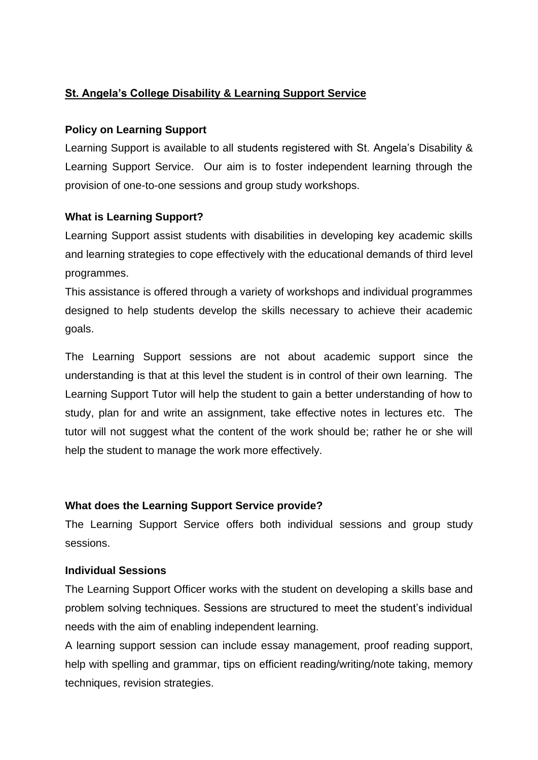# **St. Angela's College Disability & Learning Support Service**

### **Policy on Learning Support**

Learning Support is available to all students registered with St. Angela's Disability & Learning Support Service. Our aim is to foster independent learning through the provision of one-to-one sessions and group study workshops.

### **What is Learning Support?**

Learning Support assist students with disabilities in developing key academic skills and learning strategies to cope effectively with the educational demands of third level programmes.

This assistance is offered through a variety of workshops and individual programmes designed to help students develop the skills necessary to achieve their academic goals.

The Learning Support sessions are not about academic support since the understanding is that at this level the student is in control of their own learning. The Learning Support Tutor will help the student to gain a better understanding of how to study, plan for and write an assignment, take effective notes in lectures etc. The tutor will not suggest what the content of the work should be; rather he or she will help the student to manage the work more effectively.

## **What does the Learning Support Service provide?**

The Learning Support Service offers both individual sessions and group study sessions.

#### **Individual Sessions**

The Learning Support Officer works with the student on developing a skills base and problem solving techniques. Sessions are structured to meet the student's individual needs with the aim of enabling independent learning.

A learning support session can include essay management, proof reading support, help with spelling and grammar, tips on efficient reading/writing/note taking, memory techniques, revision strategies.